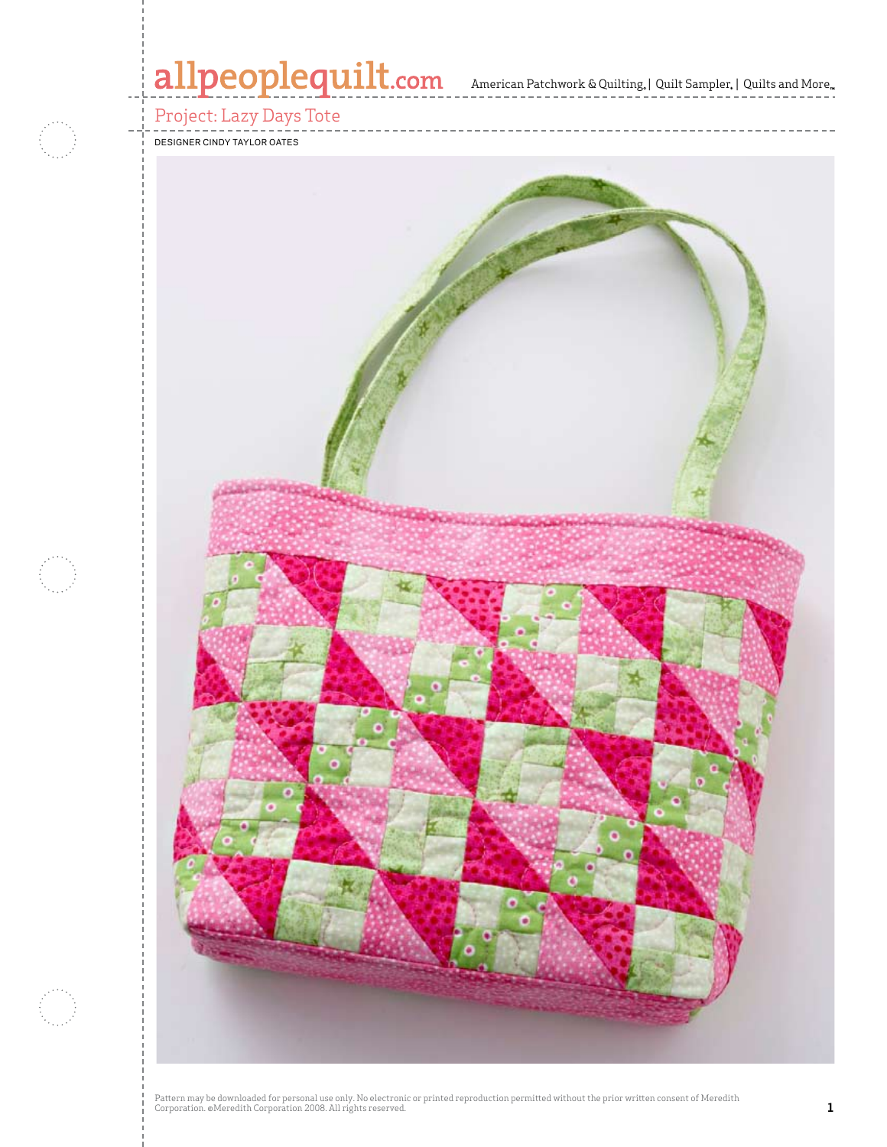# allpeoplequilt.com<br>American Patchwork & Quilting, | Quilt Sampler, | Quilts and More..

# Project: Lazy Days Tote

#### Designer Cindy taylor oates

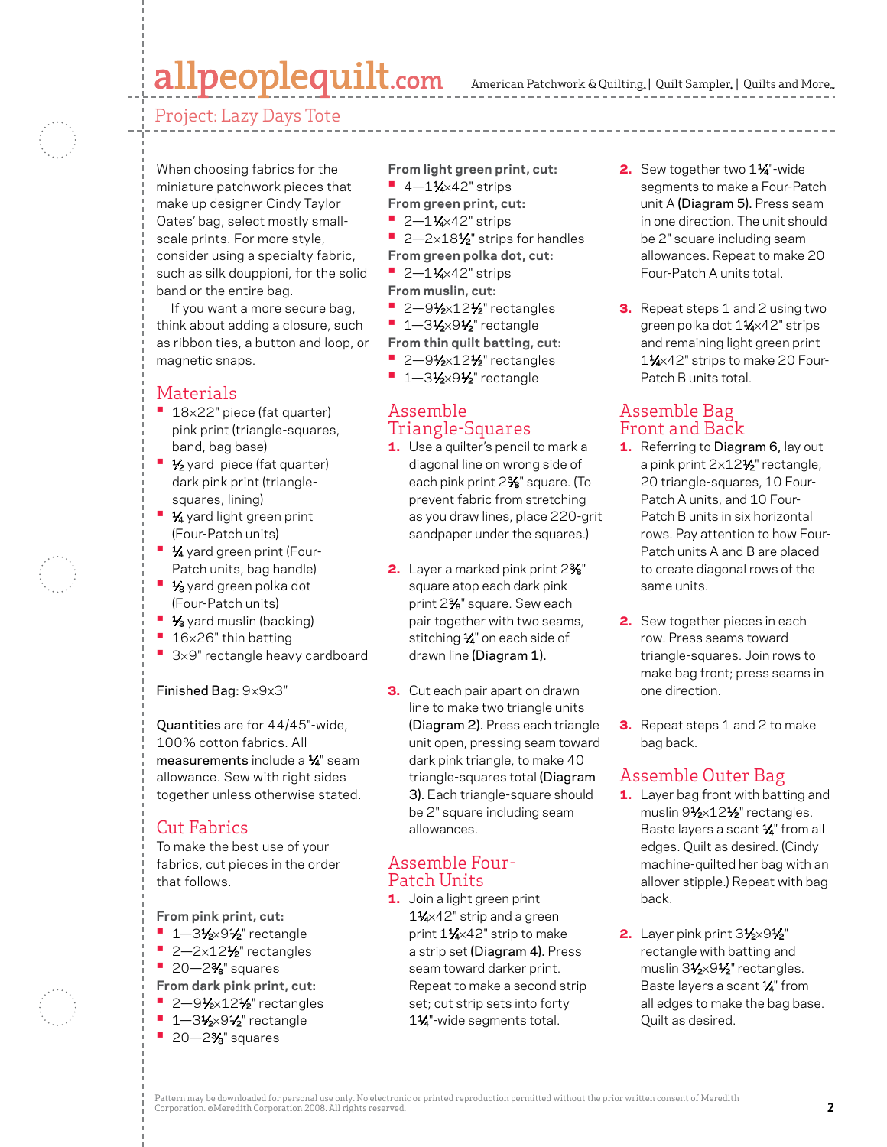# allpeoplequilt.com

American Patchwork & Quilting, | Quilt Sampler, | Quilts and More...

Project: Lazy Days Tote

When choosing fabrics for the miniature patchwork pieces that make up designer Cindy Taylor Oates' bag, select mostly smallscale prints. For more style, consider using a specialty fabric, such as silk douppioni, for the solid band or the entire bag.

If you want a more secure bag, think about adding a closure, such as ribbon ties, a button and loop, or magnetic snaps.

## Materials

- <sup>•</sup> 18×22" piece (fat quarter) pink print (triangle-squares, band, bag base)
- **1⁄2** yard piece (fat quarter) dark pink print (trianglesquares, lining)
- **1⁄4** yard light green print (Four-Patch units)
- **1⁄4** yard green print (Four-Patch units, bag handle)
- **1/8** yard green polka dot (Four-Patch units)
- **1/3** yard muslin (backing)
- **•** 16×26" thin batting
- 3×9" rectangle heavy cardboard

Finished Bag: 9×9x3"

Quantities are for 44/45"-wide, 100% cotton fabrics. All measurements include a  $\frac{1}{4}$ " seam allowance. Sew with right sides together unless otherwise stated.

## Cut Fabrics

To make the best use of your fabrics, cut pieces in the order that follows.

**From pink print, cut:**

- **•** 1-31⁄2×91⁄2" rectangle
- 2-2×12<sup>1</sup>⁄<sub>2</sub>" rectangles
- **•**  20—23⁄8" squares
- **From dark pink print, cut:**
- **2-91/2×121/2**" rectangles
- **•** 1-31⁄2×91⁄2" rectangle
- **•**  20—23⁄8" squares

**From light green print, cut: •** 4-11⁄4×42" strips

**From green print, cut:**

- **•** 2-11⁄4×42" strips
- 2-2×18<sup>1</sup>⁄<sub>2</sub>" strips for handles
- **From green polka dot, cut:**
- **•** 2-11⁄4×42" strips
- **From muslin, cut:**
- **2-91⁄2×121⁄2**" rectangles
- **•** 1-31⁄2×91⁄2" rectangle
- **From thin quilt batting, cut:**
- **•** 2-91⁄2×12<sup>1</sup>/<sub>2</sub>" rectangles
- **•** 1-31⁄2×91⁄2" rectangle

### Assemble Triangle-Squares

- 1. Use a quilter's pencil to mark a diagonal line on wrong side of each pink print 23⁄8" square. (To prevent fabric from stretching as you draw lines, place 220-grit sandpaper under the squares.)
- 2. Layer a marked pink print 2% square atop each dark pink print 23⁄8" square. Sew each pair together with two seams, stitching 1/4" on each side of drawn line (Diagram 1).
- **3.** Cut each pair apart on drawn line to make two triangle units (Diagram 2). Press each triangle unit open, pressing seam toward dark pink triangle, to make 40 triangle-squares total (Diagram 3). Each triangle-square should be 2" square including seam allowances.

### Assemble Four-Patch Units

1. Join a light green print 1<sup>1/</sup>4×42" strip and a green print 11⁄4×42" strip to make a strip set (Diagram 4). Press seam toward darker print. Repeat to make a second strip set; cut strip sets into forty 1<sup>1/4</sup>-wide segments total.

- 2. Sew together two 11⁄4"-wide segments to make a Four-Patch unit A (Diagram 5). Press seam in one direction. The unit should be 2" square including seam allowances. Repeat to make 20 Four-Patch A units total.
- **3.** Repeat steps 1 and 2 using two green polka dot 11⁄4×42" strips and remaining light green print 1<sup>1/</sup>4×42" strips to make 20 Four-Patch B units total.

### Assemble Bag Front and Back

- 1. Referring to Diagram 6, lay out a pink print 2×12<sup>1</sup>/<sub>2</sub>" rectangle, 20 triangle-squares, 10 Four-Patch A units, and 10 Four-Patch B units in six horizontal rows. Pay attention to how Four-Patch units A and B are placed to create diagonal rows of the same units.
- 2. Sew together pieces in each row. Press seams toward triangle-squares. Join rows to make bag front; press seams in one direction.
- **3.** Repeat steps 1 and 2 to make bag back.

## Assemble Outer Bag

- 1. Layer bag front with batting and muslin 91⁄2×12<sup>1</sup>/<sub>2</sub>" rectangles. Baste layers a scant  $\frac{1}{4}$ " from all edges. Quilt as desired. (Cindy machine-quilted her bag with an allover stipple.) Repeat with bag back.
- 2. Layer pink print  $3\frac{1}{2}\times9\frac{1}{2}$ " rectangle with batting and muslin 31⁄2×91⁄2" rectangles. Baste layers a scant 1/4" from all edges to make the bag base. Quilt as desired.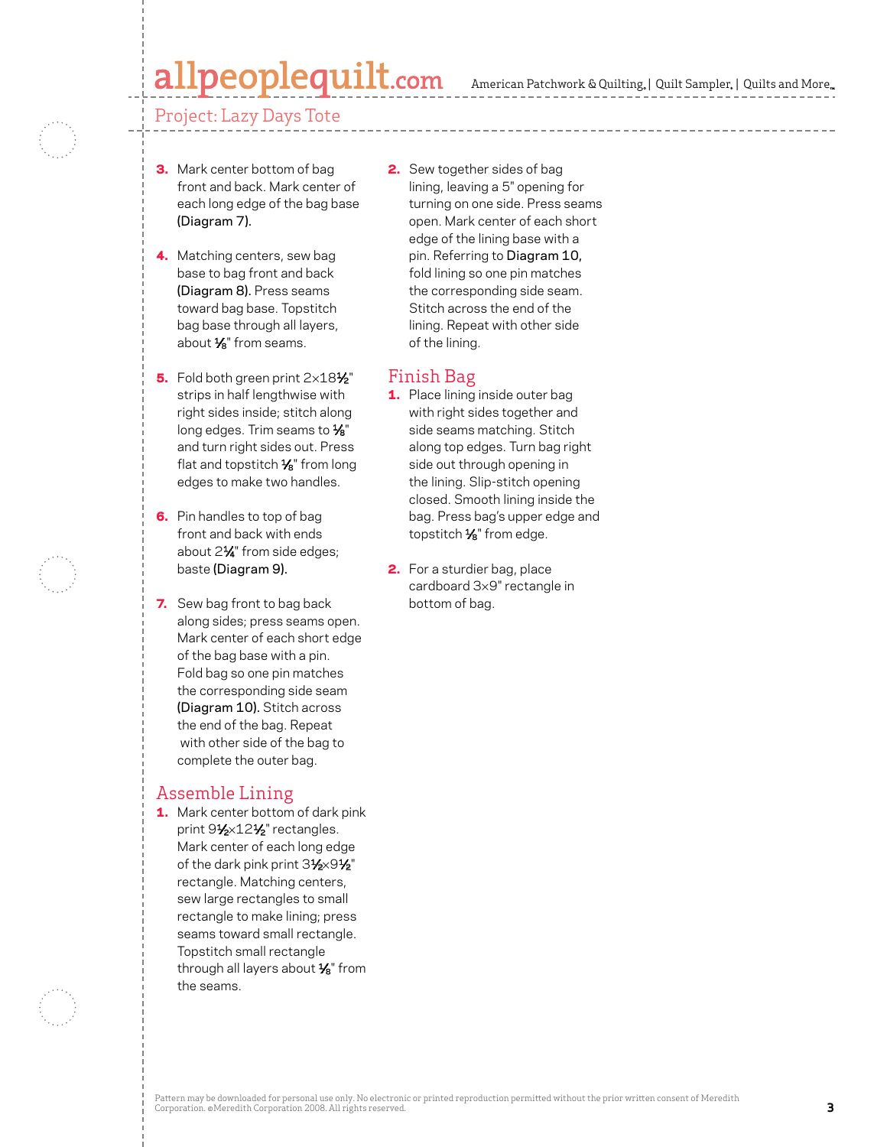# peoplequilt.com

American Patchwork & Quilting,  $|$  Quilt Sampler,  $|$  Quilts and More,

#### Project: Lazy Days Tote

- **3.** Mark center bottom of bag front and back. Mark center of each long edge of the bag base (Diagram 7).
- 4. Matching centers, sew bag base to bag front and back (Diagram 8). Press seams toward bag base. Topstitch bag base through all layers, about  $\frac{1}{8}$ " from seams.
- 5. Fold both green print  $2\times18\frac{1}{2}$ " strips in half lengthwise with right sides inside; stitch along long edges. Trim seams to 1/8" and turn right sides out. Press flat and topstitch  $\frac{1}{8}$ " from long edges to make two handles.
- 6. Pin handles to top of bag front and back with ends about 2<sup>1/4</sup> from side edges; baste (Diagram 9).
- **7.** Sew bag front to bag back along sides; press seams open. Mark center of each short edge of the bag base with a pin. Fold bag so one pin matches the corresponding side seam (Diagram 10). Stitch across the end of the bag. Repeat with other side of the bag to complete the outer bag.

#### Assemble Lining

1. Mark center bottom of dark pink print 91⁄2×12<sup>1</sup>/<sub>2</sub>" rectangles. Mark center of each long edge of the dark pink print  $3\frac{1}{2}\times9\frac{1}{2}$ " rectangle. Matching centers, sew large rectangles to small rectangle to make lining; press seams toward small rectangle. Topstitch small rectangle through all layers about  $\frac{1}{8}$ " from the seams.

**2.** Sew together sides of bag lining, leaving a 5" opening for turning on one side. Press seams open. Mark center of each short edge of the lining base with a pin. Referring to Diagram 10, fold lining so one pin matches the corresponding side seam. Stitch across the end of the lining. Repeat with other side of the lining.

#### Finish Bag

- 1. Place lining inside outer bag with right sides together and side seams matching. Stitch along top edges. Turn bag right side out through opening in the lining. Slip-stitch opening closed. Smooth lining inside the bag. Press bag's upper edge and topstitch  $\frac{1}{8}$ " from edge.
- 2. For a sturdier bag, place cardboard 3×9" rectangle in bottom of bag.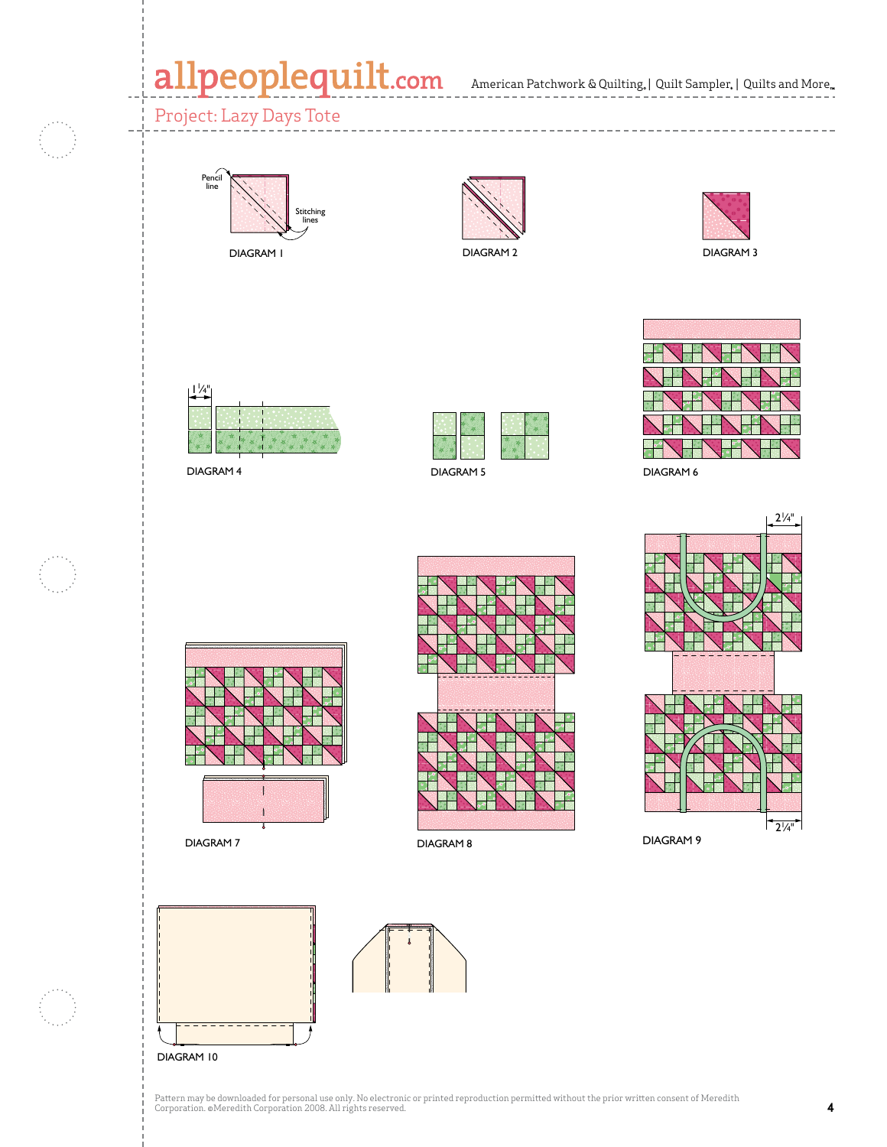# allpeoplequilt.com American Patchwork & Quilting, | Quilt Sampler, | Quilts and More..

## Project: Lazy Days Tote



DIAGRAM 1



DIAGRAM 2





DIAGRAM 4



Diagram 1



DIAGRAM 6



DIAGRAM 7 DIAGRAM 8





DIAGRAM 9







Pattern may be downloaded for personal use only. No electronic or printed reproduction permitted without the prior written consent of Meredith<br>Corporation. ©Meredith Corporation 2008. All rights reserved.